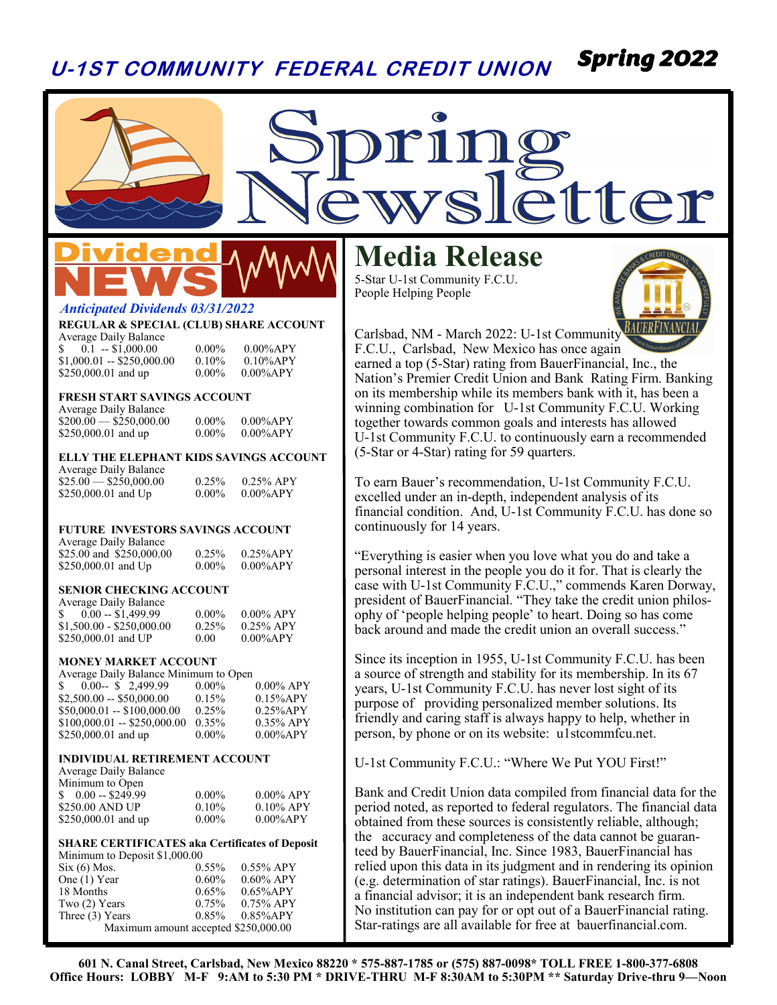#### **U-1ST COMMUNITY FEDERAL CREDIT UNION** *Spring 2022*

# etter

### lden

#### *Anticipated Dividends 03/31/2022*

#### **REGULAR & SPECIAL (CLUB) SHARE ACCOUNT**

Average Daily Balance  $0.1 - $1,000.00$   $0.00\%$   $0.00\%$  APY  $$1,000.01 - $250,000.00$  0.10% 0.10%APY<br> $$250,000.01$  and up 0.00% 0.00%APY  $$250,000.01$  and up

#### **FRESH START SAVINGS ACCOUNT**

Average Daily Balance  $$200.00 - $250,000.00$  0.00% 0.00%APY<br> $$250,000.01$  and up 0.00% 0.00%APY \$250,000.01 and up

#### **ELLY THE ELEPHANT KIDS SAVINGS ACCOUNT**

Average Daily Balance  $$25.00 - $250,000.00$  0.25% 0.25% APY<br>\$250,000.01 and Up 0.00% 0.00% APY  $$250,000.01$  and Up

#### **FUTURE INVESTORS SAVINGS ACCOUNT**

| <b>Average Daily Balance</b> |          |              |
|------------------------------|----------|--------------|
| \$25.00 and \$250,000.00     | 0.25%    | $0.25\%$ APY |
| \$250,000.01 and $Up$        | $0.00\%$ | $0.00\%$ APY |

#### **SENIOR CHECKING ACCOUNT**

| <b>Average Daily Balance</b> |          |              |
|------------------------------|----------|--------------|
|                              | $0.00\%$ | $0.00\%$ APY |
| $$1,500.00 - $250.000.00$    | $0.25\%$ | $0.25\%$ APY |
| \$250,000.01 and UP          | 0.00     | $0.00\%$ APY |

#### **MONEY MARKET ACCOUNT**

| Average Daily Balance Minimum to Open |          |              |
|---------------------------------------|----------|--------------|
| $0.00 - $ \$ 2,499.99<br>S.           | $0.00\%$ | $0.00\%$ APY |
| $$2,500.00 - $50,000.00$              | 0.15%    | $0.15\%$ APY |
| $$50,000.01 - $100,000.00$            | 0.25%    | $0.25%$ APY  |
| $$100,000.01 - $250,000.00$           | $0.35\%$ | $0.35\%$ APY |
| \$250,000.01 and up                   | $0.00\%$ | $0.00\%$ APY |

#### **INDIVIDUAL RETIREMENT ACCOUNT**

Average Daily Balance Minimum to Open

| $$0.00 - $249.99$   | $0.00\%$ | $0.00\%$ APY |
|---------------------|----------|--------------|
| \$250.00 AND UP     | $0.10\%$ | $0.10\%$ APY |
| \$250,000.01 and up | $0.00\%$ | $0.00\%$ APY |

#### **SHARE CERTIFICATES aka Certificates of Deposit** Minimum to Deposit \$1,000.00

| $Six (6)$ Mos.                       | $0.55\%$ | $0.55\%$ APY |  |
|--------------------------------------|----------|--------------|--|
| One (1) Year                         | $0.60\%$ | $0.60\%$ APY |  |
| 18 Months                            | $0.65\%$ | $0.65\%$ APY |  |
| Two $(2)$ Years                      | $0.75\%$ | $0.75\%$ APY |  |
| Three $(3)$ Years                    | $0.85\%$ | $0.85\%$ APY |  |
| Maximum amount accepted \$250,000.00 |          |              |  |

#### **Media Release**

5-Star U-1st Community F.C.U. People Helping People



Carlsbad, NM - March 2022: U-1st Community F.C.U., Carlsbad, New Mexico has once again earned a top (5-Star) rating from BauerFinancial, Inc., the Nation's Premier Credit Union and Bank Rating Firm. Banking on its membership while its members bank with it, has been a winning combination for U-1st Community F.C.U. Working together towards common goals and interests has allowed U-1st Community F.C.U. to continuously earn a recommended (5-Star or 4-Star) rating for 59 quarters.

To earn Bauer's recommendation, U-1st Community F.C.U. excelled under an in-depth, independent analysis of its financial condition. And, U-1st Community F.C.U. has done so continuously for 14 years.

"Everything is easier when you love what you do and take a personal interest in the people you do it for. That is clearly the case with U-1st Community F.C.U.," commends Karen Dorway, president of BauerFinancial. "They take the credit union philosophy of 'people helping people' to heart. Doing so has come back around and made the credit union an overall success."

Since its inception in 1955, U-1st Community F.C.U. has been a source of strength and stability for its membership. In its 67 years, U-1st Community F.C.U. has never lost sight of its purpose of providing personalized member solutions. Its friendly and caring staff is always happy to help, whether in person, by phone or on its website: u1stcommfcu.net.

U-1st Community F.C.U.: "Where We Put YOU First!"

Bank and Credit Union data compiled from financial data for the period noted, as reported to federal regulators. The financial data obtained from these sources is consistently reliable, although; the accuracy and completeness of the data cannot be guaranteed by BauerFinancial, Inc. Since 1983, BauerFinancial has relied upon this data in its judgment and in rendering its opinion (e.g. determination of star ratings). BauerFinancial, Inc. is not a financial advisor; it is an independent bank research firm. No institution can pay for or opt out of a BauerFinancial rating. Star-ratings are all available for free at bauerfinancial.com.